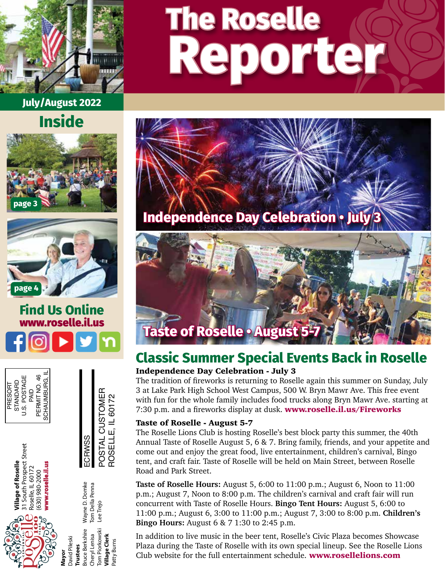

**July/August 2022**









# **Repor ter The Roselle**



## **Taste of Roselle • August 5**

## Independence Day Celebration - July 3 **Classic Summer Special Events Back in Roselle**

The tradition of fireworks is returning to Roselle again this summer on Sunday, July 3 at Lake Park High School West Campus, 500 W. Bryn Mawr Ave. This free event with fun for the whole family includes food trucks along Bryn Mawr Ave. starting at 7:30 p.m. and a fireworks display at dusk. [www.roselle.il.us/Fireworks](http://www.roselle.il.us/fireworks)

#### Taste of Roselle - August 5-7

The Roselle Lions Club is hosting Roselle's best block party this summer, the 40th Annual Taste of Roselle August 5, 6 & 7. Bring family, friends, and your appetite and come out and enjoy the great food, live entertainment, children's carnival, Bingo tent, and craft fair. Taste of Roselle will be held on Main Street, between Roselle Road and Park Street.

**Taste of Roselle Hours:** August 5, 6:00 to 11:00 p.m.; August 6, Noon to 11:00 p.m.; August 7, Noon to 8:00 p.m. The children's carnival and craft fair will run concurrent with Taste of Roselle Hours. **Bingo Tent Hours:** August 5, 6:00 to 11:00 p.m.; August 6, 3:00 to 11:00 p.m.; August 7, 3:00 to 8:00 p.m. **Children's Bingo Hours:** August 6 & 7 1:30 to 2:45 p.m.

In addition to live music in the beer tent, Roselle's Civic Plaza becomes Showcase Plaza during the Taste of Roselle with its own special lineup. See the Roselle Lions Club website for the full entertainment schedule. [www.rosellelions.com](http://www.rosellelions.com)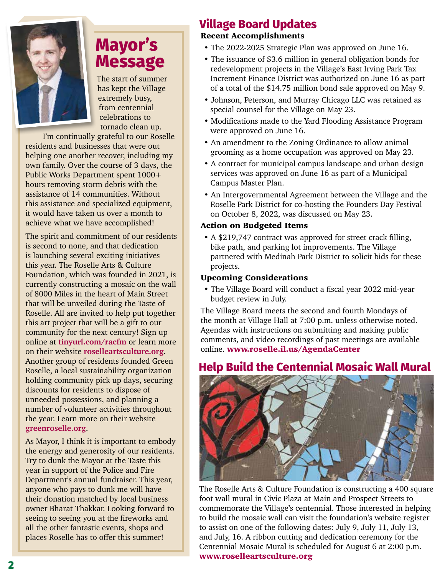

# **Mayor's Message**

The start of summer has kept the Village extremely busy, from centennial celebrations to tornado clean up.

I'm continually grateful to our Roselle residents and businesses that were out helping one another recover, including my own family. Over the course of 3 days, the Public Works Department spent 1000+ hours removing storm debris with the assistance of 14 communities. Without this assistance and specialized equipment, it would have taken us over a month to achieve what we have accomplished!

The spirit and commitment of our residents is second to none, and that dedication is launching several exciting initiatives this year. The Roselle Arts & Culture Foundation, which was founded in 2021, is currently constructing a mosaic on the wall of 8000 Miles in the heart of Main Street that will be unveiled during the Taste of Roselle. All are invited to help put together this art project that will be a gift to our community for the next century! Sign up online at **[tinyurl.com/racfm](http://tinyurl.com/racfm)** or learn more on their website **[roselleartsculture.org](http://roselleartsculture.org)**. Another group of residents founded Green Roselle, a local sustainability organization holding community pick up days, securing discounts for residents to dispose of unneeded possessions, and planning a number of volunteer activities throughout the year. Learn more on their website **[greenroselle.org](http://greenroselle.org)**.

As Mayor, I think it is important to embody the energy and generosity of our residents. Try to dunk the Mayor at the Taste this year in support of the Police and Fire Department's annual fundraiser. This year, anyone who pays to dunk me will have their donation matched by local business owner Bharat Thakkar. Looking forward to seeing to seeing you at the fireworks and all the other fantastic events, shops and places Roselle has to offer this summer!

## **Village Board Updates**

## Recent Accomplishments

- The 2022-2025 Strategic Plan was approved on June 16.
- The issuance of \$3.6 million in general obligation bonds for redevelopment projects in the Village's East Irving Park Tax Increment Finance District was authorized on June 16 as part of a total of the \$14.75 million bond sale approved on May 9.
- Johnson, Peterson, and Murray Chicago LLC was retained as special counsel for the Village on May 23.
- Modifications made to the Yard Flooding Assistance Program were approved on June 16.
- An amendment to the Zoning Ordinance to allow animal grooming as a home occupation was approved on May 23.
- A contract for municipal campus landscape and urban design services was approved on June 16 as part of a Municipal Campus Master Plan.
- An Intergovernmental Agreement between the Village and the Roselle Park District for co-hosting the Founders Day Festival on October 8, 2022, was discussed on May 23.

#### Action on Budgeted Items

• A \$219,747 contract was approved for street crack filling, bike path, and parking lot improvements. The Village partnered with Medinah Park District to solicit bids for these projects.

#### Upcoming Considerations

• The Village Board will conduct a fiscal year 2022 mid-year budget review in July.

The Village Board meets the second and fourth Mondays of the month at Village Hall at 7:00 p.m. unless otherwise noted. Agendas with instructions on submitting and making public comments, and video recordings of past meetings are available online. www.roselle.il.us/AgendaCenter

## **Help Build the Centennial Mosaic Wall Mural**



The Roselle Arts & Culture Foundation is constructing a 400 square foot wall mural in Civic Plaza at Main and Prospect Streets to commemorate the Village's centennial. Those interested in helping to build the mosaic wall can visit the foundation's website register to assist on one of the following dates: July 9, July 11, July 13, and July, 16. A ribbon cutting and dedication ceremony for the Centennial Mosaic Mural is scheduled for August 6 at 2:00 p.m. [www.roselleartsculture.org](http://roselleartsculture.org)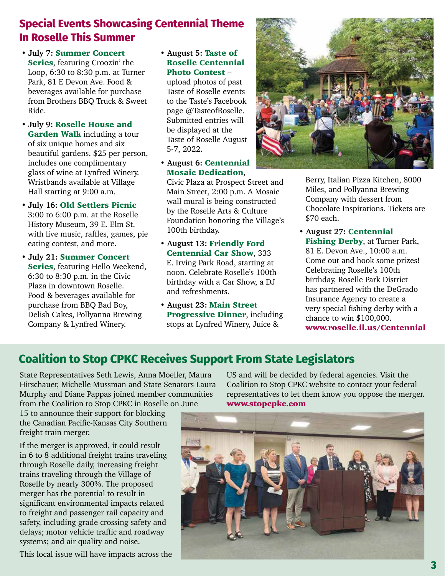## **Special Events Showcasing Centennial Theme In Roselle This Summer**

- **July 7:** Summer Concert Series, featuring Croozin' the Loop, 6:30 to 8:30 p.m. at Turner Park, 81 E Devon Ave. Food & beverages available for purchase from Brothers BBQ Truck & Sweet Ride.
- **July 9:** Roselle House and Garden Walk including a tour of six unique homes and six beautiful gardens. \$25 per person, includes one complimentary glass of wine at Lynfred Winery. Wristbands available at Village Hall starting at 9:00 a.m.
- **July 16:** Old Settlers Picnic 3:00 to 6:00 p.m. at the Roselle History Museum, 39 E. Elm St. with live music, raffles, games, pie eating contest, and more.
- **July 21:** Summer Concert Series, featuring Hello Weekend, 6:30 to 8:30 p.m. in the Civic Plaza in downtown Roselle. Food & beverages available for purchase from BBQ Bad Boy, Delish Cakes, Pollyanna Brewing Company & Lynfred Winery.

#### **• August 5:** Taste of Roselle Centennial Photo Contest –

upload photos of past Taste of Roselle events to the Taste's Facebook page @TasteofRoselle. Submitted entries will be displayed at the Taste of Roselle August 5-7, 2022.

**• August 6:** Centennial Mosaic Dedication,

Civic Plaza at Prospect Street and Main Street, 2:00 p.m. A Mosaic wall mural is being constructed by the Roselle Arts & Culture Foundation honoring the Village's 100th birthday.

- **August 13:** Friendly Ford Centennial Car Show, 333 E. Irving Park Road, starting at noon. Celebrate Roselle's 100th birthday with a Car Show, a DJ and refreshments.
- **August 23:** Main Street Progressive Dinner, including stops at Lynfred Winery, Juice &



Berry, Italian Pizza Kitchen, 8000 Miles, and Pollyanna Brewing Company with dessert from Chocolate Inspirations. Tickets are \$70 each.

**• August 27:** Centennial Fishing Derby, at Turner Park, 81 E. Devon Ave., 10:00 a.m. Come out and hook some prizes! Celebrating Roselle's 100th birthday, Roselle Park District has partnered with the DeGrado Insurance Agency to create a very special fishing derby with a chance to win \$100,000. [www.roselle.il.us/Centennial](http://www.roselle.il.us/Centennial)

## **Coalition to Stop CPKC Receives Support From State Legislators**

State Representatives Seth Lewis, Anna Moeller, Maura Hirschauer, Michelle Mussman and State Senators Laura Murphy and Diane Pappas joined member communities from the Coalition to Stop CPKC in Roselle on June

15 to announce their support for blocking the Canadian Pacific-Kansas City Southern freight train merger.

If the merger is approved, it could result in 6 to 8 additional freight trains traveling through Roselle daily, increasing freight trains traveling through the Village of Roselle by nearly 300%. The proposed merger has the potential to result in significant environmental impacts related to freight and passenger rail capacity and safety, including grade crossing safety and delays; motor vehicle traffic and roadway systems; and air quality and noise.

This local issue will have impacts across the

US and will be decided by federal agencies. Visit the Coalition to Stop CPKC website to contact your federal representatives to let them know you oppose the merger. [www.stopcpkc.com](http://www.stopcpkc.com)